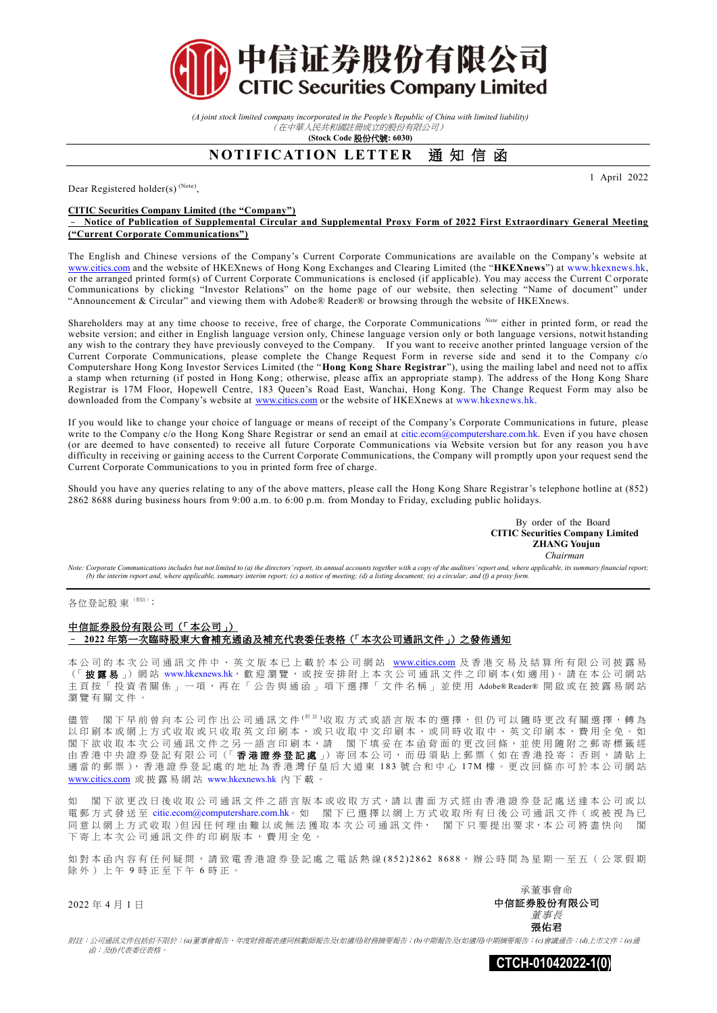

*(A joint stock limited company incorporated in the People's Republic of China with limited liability)* (在中華人民共和國註冊成立的股份有限公司)

**(Stock Code** 股份代號**: 6030)**

## **NOTIFICATION LETTER** 通知信函

Dear Registered holder(s)<sup>(Note)</sup>,

## **CITIC Securities Company Limited (the "Company")**

– **Notice of Publication of Supplemental Circular and Supplemental Proxy Form of 2022 First Extraordinary General Meeting ("Current Corporate Communications")**

The English and Chinese versions of the Company's Current Corporate Communications are available on the Company's website at [www.citics.com](http://www.citics.com/) and the website of HKEXnews of Hong Kong Exchanges and Clearing Limited (the "**HKEXnews**") at [www.hkexnews.hk,](http://www.hkexnews.hk/)  or the arranged printed form(s) of Current Corporate Communications is enclosed (if applicable). You may access the Current C orporate Communications by clicking "Investor Relations" on the home page of our website, then selecting "Name of document" under "Announcement & Circular" and viewing them with Adobe® Reader® or browsing through the website of HKEXnews.

Shareholders may at any time choose to receive, free of charge, the Corporate Communications *Note* either in printed form, or read the website version; and either in English language version only, Chinese language version only or both language versions, notwit hstanding any wish to the contrary they have previously conveyed to the Company. If you want to receive another printed language version of the Current Corporate Communications, please complete the Change Request Form in reverse side and send it to the Company c/o Computershare Hong Kong Investor Services Limited (the "**Hong Kong Share Registrar**"), using the mailing label and need not to affix a stamp when returning (if posted in Hong Kong; otherwise, please affix an appropriate stamp). The address of the Hong Kong Share Registrar is 17M Floor, Hopewell Centre, 183 Queen's Road East, Wanchai, Hong Kong. The Change Request Form may also be downloaded from the Company's website at [www.citics.com](http://www.citics.com/) or the website of HKEXnews at [www.hkexnews.hk.](http://www.hkexnews.hk/)

If you would like to change your choice of language or means of receipt of the Company's Corporate Communications in future, please write to the Company c/o the Hong Kong Share Registrar or send an email at [citic.ecom@computershare.com.hk.](mailto:citic.ecom@computershare.com.hk) Even if you have chosen (or are deemed to have consented) to receive all future Corporate Communications via Website version but for any reason you h ave difficulty in receiving or gaining access to the Current Corporate Communications, the Company will promptly upon your request send the Current Corporate Communications to you in printed form free of charge.

Should you have any queries relating to any of the above matters, please call the Hong Kong Share Registrar's telephone hotline at (852) 2862 8688 during business hours from 9:00 a.m. to 6:00 p.m. from Monday to Friday, excluding public holidays.

> By order of the Board **CITIC Securities Company Limited ZHANG Youjun**  *Chairman*

1 April 2022

*Note: Corporate Communications includes but not limited to (a) the directors' report, its annual accounts together with a copy of the auditors' report and, where applicable, its summary financial report; (b) the interim report and, where applicable, summary interim report; (c) a notice of meeting; (d) a listing document; (e) a circular; and (f) a proxy form.*

各位登記股 東 (附註):

## 中信証券股份有限公司(「本公司」) – **2022** 年第一次臨時股東大會補充通函及補充代表委任表格(「本次公司通訊文件」)之發佈通知

本公司的本次公司通訊文件中、英文版本已上載於本公司網站 [www.citics.com](http://www.citics.com/) 及香港交易及結算所有限公司披露易 (「披露易」)網站 [www.hkexnews.hk](http://www.hkexnews.hk/), 歡 迎 瀏 覽, 或 按 安 排 附 上 本 次 公 司 通 訊 文 件 之 印 刷 本 (如 適 用)。 請 在 本 公 司 網 站 主頁按「投資者關係」一項,再在「公告與通函」項下選擇「文件名稱」並使用 Adobe® Reader® 開啟或在披露易網站 瀏覽有關文件 。

閣 下 早 前 曾 向 本 公 司 作 出 公 司 涌 訊 文 件 <sup>( 附 註</sup> )收 取 方 式 或 語 言 版 本 的 選 擇 , 但 仍 可 以 隨 時 更 改 有 關 選 擇 , 轉 為 以印刷本或網上方式收取或只收取英文印刷本、或只收取中文印刷本、或同時收取中、英文印刷本,費用全免。如 閣下欲收取本次公司通訊文件之另一語言印刷本,請 閣下填妥在本函背面的 更 改 回 條 , 並 使 用 隨 附 之 郵 寄 標 籤 經 由 香 港 中 央 證 券 登 記 有 限 公 司 (「 香港證券登記處 」) 寄 回 本公司 , 而 毋 須 貼 上 郵 票 ( 如 在 香 港 投 寄 ; 否 則 , 請 貼 上 適當的郵票),香港證券登記處的地址為香港灣仔皇后大道東 183號合和中心 17M樓。更改回條亦可於本公司網站 [www.citics.com](http://www.citics.com/) 或 披 露 易 網 站 [www.hkexnews.hk](http://www.hkexnews.hk/) 內下載。

如 閣下欲更改日後收取公司通訊文件之語言版本或收取方式,請以書面方式經由香港證券登記處送達本公司或以 電郵方式發送至 [citic.ecom@computershare.com.hk](mailto:citic.ecom@computershare.com.hk)。 如 閣下已選擇以網上方式收取所有日後公司通訊文件 ( 或被視為已 同意以網上方式收取)但因任何理由難以或無法獲取本次公司通訊文件, 閣下只要提出要求,本公司將盡快向 閣 下寄上本次公司通訊文件的印刷版本,費用全免

如對本函內容有任何疑問,請致電香港證券登記處之電話熱線(852)2862 8688,辦公時間為星期一至五(公眾假期 除外)上午9時正至下午6時正。

2022 年 4 月 1 日

承董事會命 中信証券股份有限公司 董事長

張佑君

附註:公司通訊文件包括但不限於:*(a)*董事會報告、年度財務報表連同核數師報告及*(*如適用*)*財務摘要報告;*(b)*中期報告及*(*如適用*)*中期摘要報告;*(c)*會議通告;*(d)*上市文件;*(e)*通 *函;及(f)代表委任表格*。